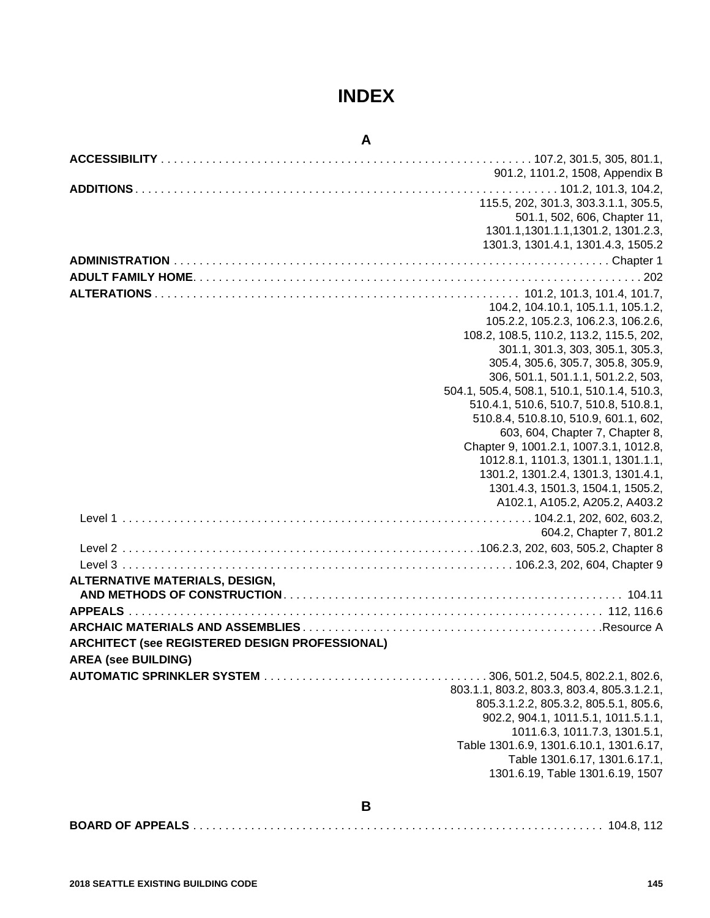# **INDEX**

# **A**

| 901.2, 1101.2, 1508, Appendix B<br>115.5, 202, 301.3, 303.3.1.1, 305.5,<br>501.1, 502, 606, Chapter 11,<br>1301.1, 1301.1.1, 1301.2, 1301.2.3,<br>1301.3, 1301.4.1, 1301.4.3, 1505.2<br>104.2, 104.10.1, 105.1.1, 105.1.2,<br>105.2.2, 105.2.3, 106.2.3, 106.2.6,<br>108.2, 108.5, 110.2, 113.2, 115.5, 202,<br>301.1, 301.3, 303, 305.1, 305.3,<br>305.4, 305.6, 305.7, 305.8, 305.9,<br>306, 501.1, 501.1.1, 501.2.2, 503,<br>504.1, 505.4, 508.1, 510.1, 510.1.4, 510.3,<br>510.4.1, 510.6, 510.7, 510.8, 510.8.1,<br>510.8.4, 510.8.10, 510.9, 601.1, 602,<br>603, 604, Chapter 7, Chapter 8,<br>Chapter 9, 1001.2.1, 1007.3.1, 1012.8,<br>1012.8.1, 1101.3, 1301.1, 1301.1.1,<br>1301.2, 1301.2.4, 1301.3, 1301.4.1,<br>1301.4.3, 1501.3, 1504.1, 1505.2,<br>A102.1, A105.2, A205.2, A403.2<br>604.2, Chapter 7, 801.2<br>ARCHITECT (see REGISTERED DESIGN PROFESSIONAL)<br><b>AREA (see BUILDING)</b><br>803.1.1, 803.2, 803.3, 803.4, 805.3.1.2.1,<br>805.3.1.2.2, 805.3.2, 805.5.1, 805.6,<br>902.2, 904.1, 1011.5.1, 1011.5.1.1,<br>1011.6.3, 1011.7.3, 1301.5.1,<br>Table 1301.6.9, 1301.6.10.1, 1301.6.17,<br>Table 1301.6.17, 1301.6.17.1,<br>1301.6.19, Table 1301.6.19, 1507<br>В |                                       |  |
|-------------------------------------------------------------------------------------------------------------------------------------------------------------------------------------------------------------------------------------------------------------------------------------------------------------------------------------------------------------------------------------------------------------------------------------------------------------------------------------------------------------------------------------------------------------------------------------------------------------------------------------------------------------------------------------------------------------------------------------------------------------------------------------------------------------------------------------------------------------------------------------------------------------------------------------------------------------------------------------------------------------------------------------------------------------------------------------------------------------------------------------------------------------------------------------------------|---------------------------------------|--|
|                                                                                                                                                                                                                                                                                                                                                                                                                                                                                                                                                                                                                                                                                                                                                                                                                                                                                                                                                                                                                                                                                                                                                                                                 |                                       |  |
|                                                                                                                                                                                                                                                                                                                                                                                                                                                                                                                                                                                                                                                                                                                                                                                                                                                                                                                                                                                                                                                                                                                                                                                                 |                                       |  |
|                                                                                                                                                                                                                                                                                                                                                                                                                                                                                                                                                                                                                                                                                                                                                                                                                                                                                                                                                                                                                                                                                                                                                                                                 |                                       |  |
|                                                                                                                                                                                                                                                                                                                                                                                                                                                                                                                                                                                                                                                                                                                                                                                                                                                                                                                                                                                                                                                                                                                                                                                                 |                                       |  |
|                                                                                                                                                                                                                                                                                                                                                                                                                                                                                                                                                                                                                                                                                                                                                                                                                                                                                                                                                                                                                                                                                                                                                                                                 |                                       |  |
|                                                                                                                                                                                                                                                                                                                                                                                                                                                                                                                                                                                                                                                                                                                                                                                                                                                                                                                                                                                                                                                                                                                                                                                                 |                                       |  |
|                                                                                                                                                                                                                                                                                                                                                                                                                                                                                                                                                                                                                                                                                                                                                                                                                                                                                                                                                                                                                                                                                                                                                                                                 |                                       |  |
|                                                                                                                                                                                                                                                                                                                                                                                                                                                                                                                                                                                                                                                                                                                                                                                                                                                                                                                                                                                                                                                                                                                                                                                                 |                                       |  |
|                                                                                                                                                                                                                                                                                                                                                                                                                                                                                                                                                                                                                                                                                                                                                                                                                                                                                                                                                                                                                                                                                                                                                                                                 |                                       |  |
|                                                                                                                                                                                                                                                                                                                                                                                                                                                                                                                                                                                                                                                                                                                                                                                                                                                                                                                                                                                                                                                                                                                                                                                                 |                                       |  |
|                                                                                                                                                                                                                                                                                                                                                                                                                                                                                                                                                                                                                                                                                                                                                                                                                                                                                                                                                                                                                                                                                                                                                                                                 |                                       |  |
|                                                                                                                                                                                                                                                                                                                                                                                                                                                                                                                                                                                                                                                                                                                                                                                                                                                                                                                                                                                                                                                                                                                                                                                                 |                                       |  |
|                                                                                                                                                                                                                                                                                                                                                                                                                                                                                                                                                                                                                                                                                                                                                                                                                                                                                                                                                                                                                                                                                                                                                                                                 |                                       |  |
|                                                                                                                                                                                                                                                                                                                                                                                                                                                                                                                                                                                                                                                                                                                                                                                                                                                                                                                                                                                                                                                                                                                                                                                                 |                                       |  |
|                                                                                                                                                                                                                                                                                                                                                                                                                                                                                                                                                                                                                                                                                                                                                                                                                                                                                                                                                                                                                                                                                                                                                                                                 |                                       |  |
|                                                                                                                                                                                                                                                                                                                                                                                                                                                                                                                                                                                                                                                                                                                                                                                                                                                                                                                                                                                                                                                                                                                                                                                                 |                                       |  |
|                                                                                                                                                                                                                                                                                                                                                                                                                                                                                                                                                                                                                                                                                                                                                                                                                                                                                                                                                                                                                                                                                                                                                                                                 |                                       |  |
|                                                                                                                                                                                                                                                                                                                                                                                                                                                                                                                                                                                                                                                                                                                                                                                                                                                                                                                                                                                                                                                                                                                                                                                                 |                                       |  |
|                                                                                                                                                                                                                                                                                                                                                                                                                                                                                                                                                                                                                                                                                                                                                                                                                                                                                                                                                                                                                                                                                                                                                                                                 |                                       |  |
|                                                                                                                                                                                                                                                                                                                                                                                                                                                                                                                                                                                                                                                                                                                                                                                                                                                                                                                                                                                                                                                                                                                                                                                                 |                                       |  |
|                                                                                                                                                                                                                                                                                                                                                                                                                                                                                                                                                                                                                                                                                                                                                                                                                                                                                                                                                                                                                                                                                                                                                                                                 |                                       |  |
|                                                                                                                                                                                                                                                                                                                                                                                                                                                                                                                                                                                                                                                                                                                                                                                                                                                                                                                                                                                                                                                                                                                                                                                                 |                                       |  |
|                                                                                                                                                                                                                                                                                                                                                                                                                                                                                                                                                                                                                                                                                                                                                                                                                                                                                                                                                                                                                                                                                                                                                                                                 |                                       |  |
|                                                                                                                                                                                                                                                                                                                                                                                                                                                                                                                                                                                                                                                                                                                                                                                                                                                                                                                                                                                                                                                                                                                                                                                                 |                                       |  |
|                                                                                                                                                                                                                                                                                                                                                                                                                                                                                                                                                                                                                                                                                                                                                                                                                                                                                                                                                                                                                                                                                                                                                                                                 |                                       |  |
|                                                                                                                                                                                                                                                                                                                                                                                                                                                                                                                                                                                                                                                                                                                                                                                                                                                                                                                                                                                                                                                                                                                                                                                                 |                                       |  |
|                                                                                                                                                                                                                                                                                                                                                                                                                                                                                                                                                                                                                                                                                                                                                                                                                                                                                                                                                                                                                                                                                                                                                                                                 |                                       |  |
|                                                                                                                                                                                                                                                                                                                                                                                                                                                                                                                                                                                                                                                                                                                                                                                                                                                                                                                                                                                                                                                                                                                                                                                                 |                                       |  |
|                                                                                                                                                                                                                                                                                                                                                                                                                                                                                                                                                                                                                                                                                                                                                                                                                                                                                                                                                                                                                                                                                                                                                                                                 | <b>ALTERNATIVE MATERIALS, DESIGN,</b> |  |
|                                                                                                                                                                                                                                                                                                                                                                                                                                                                                                                                                                                                                                                                                                                                                                                                                                                                                                                                                                                                                                                                                                                                                                                                 |                                       |  |
|                                                                                                                                                                                                                                                                                                                                                                                                                                                                                                                                                                                                                                                                                                                                                                                                                                                                                                                                                                                                                                                                                                                                                                                                 |                                       |  |
|                                                                                                                                                                                                                                                                                                                                                                                                                                                                                                                                                                                                                                                                                                                                                                                                                                                                                                                                                                                                                                                                                                                                                                                                 |                                       |  |
|                                                                                                                                                                                                                                                                                                                                                                                                                                                                                                                                                                                                                                                                                                                                                                                                                                                                                                                                                                                                                                                                                                                                                                                                 |                                       |  |
|                                                                                                                                                                                                                                                                                                                                                                                                                                                                                                                                                                                                                                                                                                                                                                                                                                                                                                                                                                                                                                                                                                                                                                                                 |                                       |  |
|                                                                                                                                                                                                                                                                                                                                                                                                                                                                                                                                                                                                                                                                                                                                                                                                                                                                                                                                                                                                                                                                                                                                                                                                 |                                       |  |
|                                                                                                                                                                                                                                                                                                                                                                                                                                                                                                                                                                                                                                                                                                                                                                                                                                                                                                                                                                                                                                                                                                                                                                                                 |                                       |  |
|                                                                                                                                                                                                                                                                                                                                                                                                                                                                                                                                                                                                                                                                                                                                                                                                                                                                                                                                                                                                                                                                                                                                                                                                 |                                       |  |
|                                                                                                                                                                                                                                                                                                                                                                                                                                                                                                                                                                                                                                                                                                                                                                                                                                                                                                                                                                                                                                                                                                                                                                                                 |                                       |  |
|                                                                                                                                                                                                                                                                                                                                                                                                                                                                                                                                                                                                                                                                                                                                                                                                                                                                                                                                                                                                                                                                                                                                                                                                 |                                       |  |
|                                                                                                                                                                                                                                                                                                                                                                                                                                                                                                                                                                                                                                                                                                                                                                                                                                                                                                                                                                                                                                                                                                                                                                                                 |                                       |  |
|                                                                                                                                                                                                                                                                                                                                                                                                                                                                                                                                                                                                                                                                                                                                                                                                                                                                                                                                                                                                                                                                                                                                                                                                 |                                       |  |
|                                                                                                                                                                                                                                                                                                                                                                                                                                                                                                                                                                                                                                                                                                                                                                                                                                                                                                                                                                                                                                                                                                                                                                                                 |                                       |  |
|                                                                                                                                                                                                                                                                                                                                                                                                                                                                                                                                                                                                                                                                                                                                                                                                                                                                                                                                                                                                                                                                                                                                                                                                 |                                       |  |
|                                                                                                                                                                                                                                                                                                                                                                                                                                                                                                                                                                                                                                                                                                                                                                                                                                                                                                                                                                                                                                                                                                                                                                                                 |                                       |  |

|--|--|--|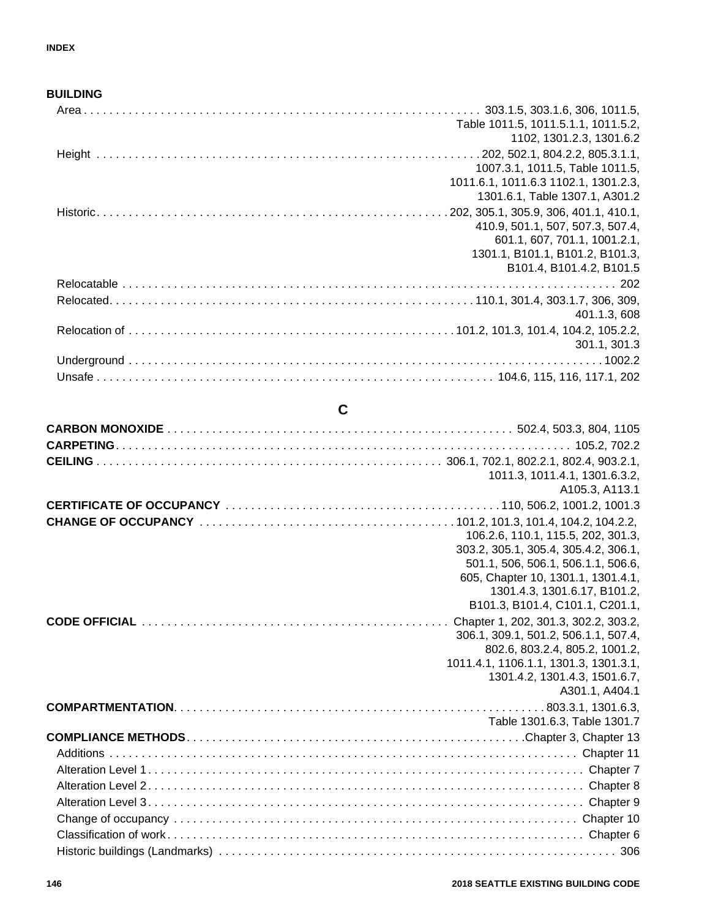### **BUILDING**

| Table 1011.5, 1011.5.1.1, 1011.5.2,  |
|--------------------------------------|
| 1102, 1301.2.3, 1301.6.2             |
|                                      |
| 1007.3.1, 1011.5, Table 1011.5,      |
| 1011.6.1, 1011.6.3 1102.1, 1301.2.3, |
| 1301.6.1, Table 1307.1, A301.2       |
|                                      |
| 410.9, 501.1, 507, 507.3, 507.4,     |
| 601.1, 607, 701.1, 1001.2.1,         |
| 1301.1, B101.1, B101.2, B101.3,      |
| B101.4, B101.4.2, B101.5             |
|                                      |
|                                      |
| 401.1.3, 608                         |
|                                      |
| 301.1, 301.3                         |
|                                      |
|                                      |
|                                      |

# **C**

| 1011.3, 1011.4.1, 1301.6.3.2,                                           |
|-------------------------------------------------------------------------|
| A105.3, A113.1                                                          |
|                                                                         |
|                                                                         |
| 106.2.6, 110.1, 115.5, 202, 301.3,                                      |
| 303.2, 305.1, 305.4, 305.4.2, 306.1,                                    |
| 501.1, 506, 506.1, 506.1.1, 506.6,                                      |
| 605, Chapter 10, 1301.1, 1301.4.1,                                      |
| 1301.4.3, 1301.6.17, B101.2,                                            |
| B101.3, B101.4, C101.1, C201.1,                                         |
|                                                                         |
| 306.1, 309.1, 501.2, 506.1.1, 507.4,                                    |
| 802.6, 803.2.4, 805.2, 1001.2,<br>1011.4.1, 1106.1.1, 1301.3, 1301.3.1, |
| 1301.4.2, 1301.4.3, 1501.6.7,                                           |
| A301.1, A404.1                                                          |
|                                                                         |
| Table 1301.6.3, Table 1301.7                                            |
|                                                                         |
|                                                                         |
|                                                                         |
|                                                                         |
|                                                                         |
|                                                                         |
|                                                                         |
|                                                                         |
|                                                                         |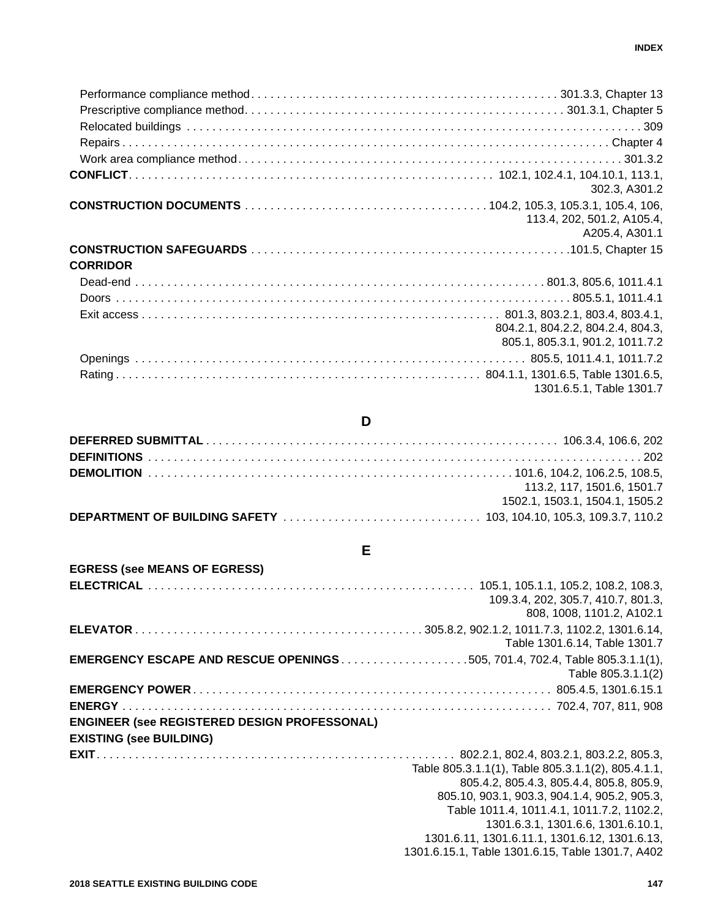|                 | 302.3, A301.2                                                        |
|-----------------|----------------------------------------------------------------------|
|                 | 113.4, 202, 501.2, A105.4,<br>A205.4, A301.1                         |
| <b>CORRIDOR</b> |                                                                      |
|                 |                                                                      |
|                 |                                                                      |
|                 | 804.2.1, 804.2.2, 804.2.4, 804.3,<br>805.1, 805.3.1, 901.2, 1011.7.2 |
|                 |                                                                      |
|                 | 1301.6.5.1, Table 1301.7                                             |
|                 |                                                                      |

| 113.2. 117. 1501.6, 1501.7     |
|--------------------------------|
| 1502.1, 1503.1, 1504.1, 1505.2 |

**D**

**DEPARTMENT OF BUILDING SAFETY** . . . . . . . . . . . . . . . . . . . . . . . . . . . . . . . 103, 104.10, 105.3, 109.3.7, 110.2

# **E**

| <b>EGRESS (see MEANS OF EGRESS)</b>                 |                                                    |
|-----------------------------------------------------|----------------------------------------------------|
|                                                     |                                                    |
|                                                     | 109.3.4, 202, 305.7, 410.7, 801.3,                 |
|                                                     | 808, 1008, 1101.2, A102.1                          |
|                                                     |                                                    |
|                                                     | Table 1301.6.14, Table 1301.7                      |
|                                                     |                                                    |
|                                                     | Table 805.3.1.1(2)                                 |
|                                                     |                                                    |
|                                                     |                                                    |
| <b>ENGINEER (see REGISTERED DESIGN PROFESSONAL)</b> |                                                    |
| <b>EXISTING (see BUILDING)</b>                      |                                                    |
|                                                     |                                                    |
|                                                     | Table 805.3.1.1(1), Table 805.3.1.1(2), 805.4.1.1, |
|                                                     | 805.4.2, 805.4.3, 805.4.4, 805.8, 805.9,           |
|                                                     | 805.10, 903.1, 903.3, 904.1.4, 905.2, 905.3,       |
|                                                     | Table 1011.4, 1011.4.1, 1011.7.2, 1102.2,          |
|                                                     | 1301.6.3.1, 1301.6.6, 1301.6.10.1,                 |
|                                                     | 1301.6.11, 1301.6.11.1, 1301.6.12, 1301.6.13,      |
|                                                     | 1301.6.15.1, Table 1301.6.15, Table 1301.7, A402   |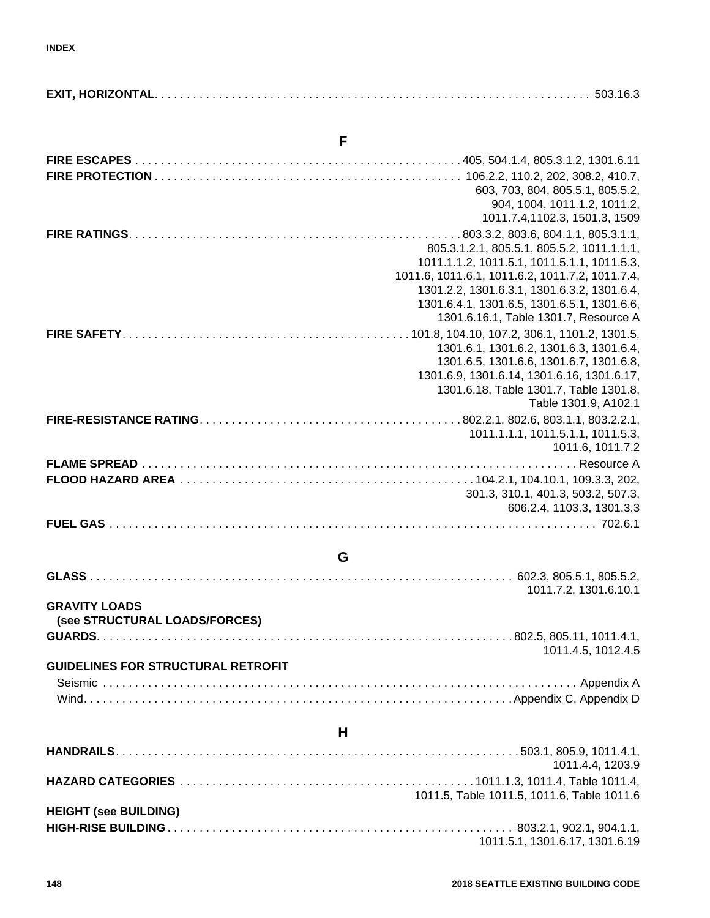#### **F**

|   | 603, 703, 804, 805.5.1, 805.5.2,                |
|---|-------------------------------------------------|
|   | 904, 1004, 1011.1.2, 1011.2,                    |
|   | 1011.7.4,1102.3, 1501.3, 1509                   |
|   |                                                 |
|   | 805.3.1.2.1, 805.5.1, 805.5.2, 1011.1.1.1,      |
|   | 1011.1.1.2, 1011.5.1, 1011.5.1.1, 1011.5.3,     |
|   | 1011.6, 1011.6.1, 1011.6.2, 1011.7.2, 1011.7.4, |
|   | 1301.2.2, 1301.6.3.1, 1301.6.3.2, 1301.6.4,     |
|   | 1301.6.4.1, 1301.6.5, 1301.6.5.1, 1301.6.6,     |
|   | 1301.6.16.1, Table 1301.7, Resource A           |
|   |                                                 |
|   | 1301.6.1, 1301.6.2, 1301.6.3, 1301.6.4,         |
|   | 1301.6.5, 1301.6.6, 1301.6.7, 1301.6.8,         |
|   | 1301.6.9, 1301.6.14, 1301.6.16, 1301.6.17,      |
|   | 1301.6.18, Table 1301.7, Table 1301.8,          |
|   | Table 1301.9, A102.1                            |
|   |                                                 |
|   | 1011.1.1.1, 1011.5.1.1, 1011.5.3,               |
|   | 1011.6, 1011.7.2                                |
|   |                                                 |
|   |                                                 |
|   | 301.3, 310.1, 401.3, 503.2, 507.3,              |
|   | 606.2.4, 1103.3, 1301.3.3                       |
|   |                                                 |
|   |                                                 |
| G |                                                 |

#### **G**

|                               | 1011.7.2. 1301.6.10.1 |
|-------------------------------|-----------------------|
| <b>GRAVITY LOADS</b>          |                       |
| (see STRUCTURAL LOADS/FORCES) |                       |

**GUARDS**. . . . . . . . . . . . . . . . . . . . . . . . . . . . . . . . . . . . . . . . . . . . . . . . . . . . . . . . . . . . . . . . . 802.5, 805.11, 1011.4.1,

## 1011.4.5, 1012.4.5 **GUIDELINES FOR STRUCTURAL RETROFIT** Seismic . . . . . . . . . . . . . . . . . . . . . . . . . . . . . . . . . . . . . . . . . . . . . . . . . . . . . . . . . . . . . . . . . . . . . . . . . . Appendix A Wind. . . . . . . . . . . . . . . . . . . . . . . . . . . . . . . . . . . . . . . . . . . . . . . . . . . . . . . . . . . . . . . . . . . Appendix C, Appendix D

|                              | 1011.4.4, 1203.9                           |
|------------------------------|--------------------------------------------|
|                              |                                            |
|                              | 1011.5, Table 1011.5, 1011.6, Table 1011.6 |
| <b>HEIGHT (see BUILDING)</b> |                                            |
|                              |                                            |
|                              | 1011.5.1, 1301.6.17, 1301.6.19             |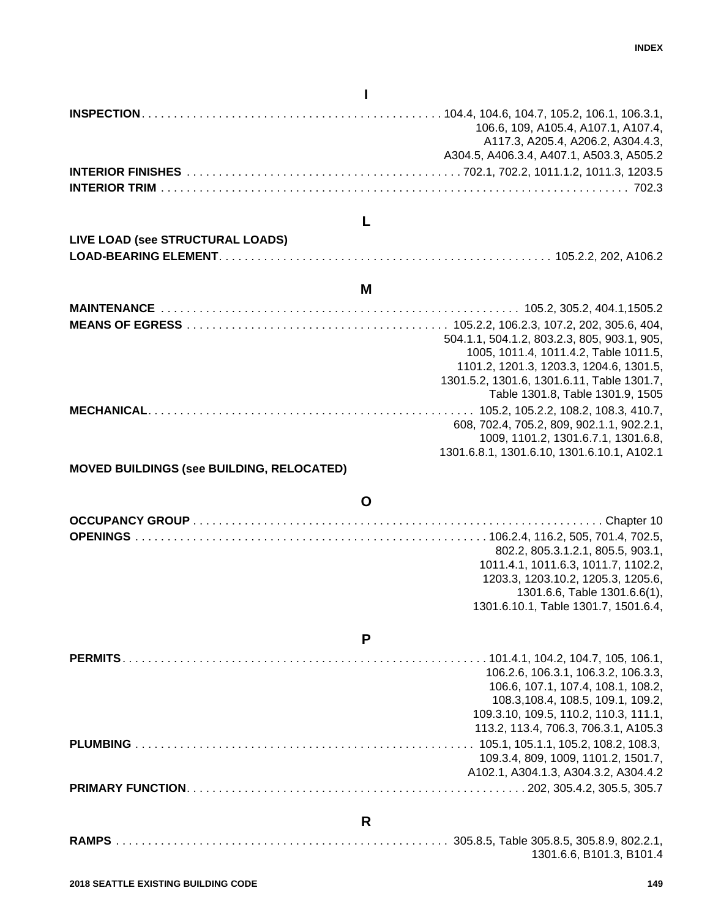# **I**

|                                           | 106.6, 109, A105.4, A107.1, A107.4,<br>A117.3, A205.4, A206.2, A304.4.3,<br>A304.5, A406.3.4, A407.1, A503.3, A505.2 |
|-------------------------------------------|----------------------------------------------------------------------------------------------------------------------|
|                                           |                                                                                                                      |
|                                           |                                                                                                                      |
|                                           |                                                                                                                      |
|                                           | L                                                                                                                    |
| LIVE LOAD (see STRUCTURAL LOADS)          |                                                                                                                      |
|                                           |                                                                                                                      |
|                                           |                                                                                                                      |
|                                           | M                                                                                                                    |
|                                           |                                                                                                                      |
|                                           |                                                                                                                      |
|                                           | 504.1.1, 504.1.2, 803.2.3, 805, 903.1, 905,                                                                          |
|                                           | 1005, 1011.4, 1011.4.2, Table 1011.5,<br>1101.2, 1201.3, 1203.3, 1204.6, 1301.5,                                     |
|                                           | 1301.5.2, 1301.6, 1301.6.11, Table 1301.7,                                                                           |
|                                           | Table 1301.8, Table 1301.9, 1505                                                                                     |
|                                           |                                                                                                                      |
|                                           | 608, 702.4, 705.2, 809, 902.1.1, 902.2.1,                                                                            |
|                                           | 1009, 1101.2, 1301.6.7.1, 1301.6.8,                                                                                  |
|                                           | 1301.6.8.1, 1301.6.10, 1301.6.10.1, A102.1                                                                           |
| MOVED BUILDINGS (see BUILDING, RELOCATED) |                                                                                                                      |
|                                           |                                                                                                                      |
|                                           | $\mathbf O$                                                                                                          |
|                                           |                                                                                                                      |
|                                           |                                                                                                                      |
|                                           | 802.2, 805.3.1.2.1, 805.5, 903.1,<br>1011.4.1, 1011.6.3, 1011.7, 1102.2,                                             |
|                                           | 1203.3, 1203.10.2, 1205.3, 1205.6,                                                                                   |
|                                           | 1301.6.6, Table 1301.6.6(1),                                                                                         |
|                                           | 1301.6.10.1, Table 1301.7, 1501.6.4,                                                                                 |
|                                           |                                                                                                                      |
|                                           | P                                                                                                                    |
|                                           |                                                                                                                      |
|                                           | 106.2.6, 106.3.1, 106.3.2, 106.3.3,                                                                                  |
|                                           | 106.6, 107.1, 107.4, 108.1, 108.2,                                                                                   |
|                                           | 108.3, 108.4, 108.5, 109.1, 109.2,                                                                                   |
|                                           | 109.3.10, 109.5, 110.2, 110.3, 111.1,<br>113.2, 113.4, 706.3, 706.3.1, A105.3                                        |
|                                           |                                                                                                                      |
|                                           | 109.3.4, 809, 1009, 1101.2, 1501.7,                                                                                  |
|                                           | A102.1, A304.1.3, A304.3.2, A304.4.2                                                                                 |
|                                           |                                                                                                                      |
|                                           |                                                                                                                      |
|                                           | R                                                                                                                    |
|                                           |                                                                                                                      |

1301.6.6, B101.3, B101.4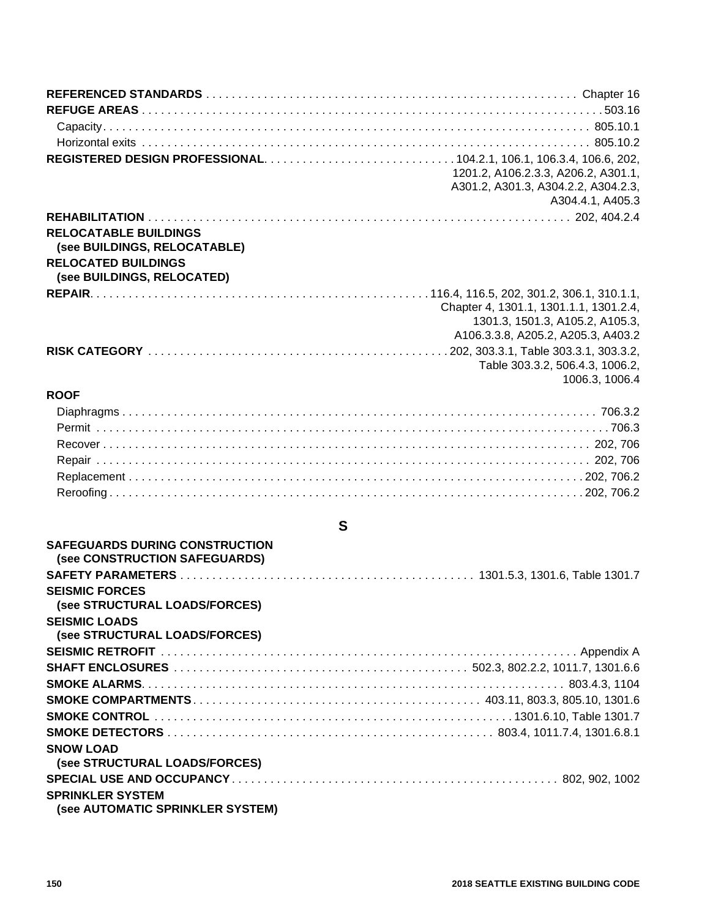|                                                            | 1201.2, A106.2.3.3, A206.2, A301.1,    |
|------------------------------------------------------------|----------------------------------------|
|                                                            | A301.2, A301.3, A304.2.2, A304.2.3,    |
|                                                            | A304.4.1, A405.3                       |
|                                                            |                                        |
| <b>RELOCATABLE BUILDINGS</b>                               |                                        |
| (see BUILDINGS, RELOCATABLE)<br><b>RELOCATED BUILDINGS</b> |                                        |
| (see BUILDINGS, RELOCATED)                                 |                                        |
|                                                            |                                        |
|                                                            | Chapter 4, 1301.1, 1301.1.1, 1301.2.4, |
|                                                            | 1301.3, 1501.3, A105.2, A105.3,        |
|                                                            | A106.3.3.8, A205.2, A205.3, A403.2     |
|                                                            |                                        |
|                                                            | Table 303.3.2, 506.4.3, 1006.2,        |
|                                                            | 1006.3, 1006.4                         |
| <b>ROOF</b>                                                |                                        |
|                                                            |                                        |
|                                                            |                                        |
|                                                            |                                        |
|                                                            |                                        |
|                                                            |                                        |
|                                                            |                                        |
| S                                                          |                                        |
| <b>SAFEGUARDS DURING CONSTRUCTION</b>                      |                                        |
| (see CONSTRUCTION SAFEGUARDS)                              |                                        |
|                                                            |                                        |
| <b>SEISMIC FORCES</b>                                      |                                        |
| (see STRUCTURAL LOADS/FORCES)                              |                                        |
| <b>SEISMIC LOADS</b>                                       |                                        |
| (see STRUCTURAL LOADS/FORCES)                              |                                        |
|                                                            |                                        |
|                                                            |                                        |
|                                                            |                                        |
|                                                            |                                        |
|                                                            |                                        |
|                                                            |                                        |
| <b>SNOW LOAD</b>                                           |                                        |
| (see STRUCTURAL LOADS/FORCES)                              |                                        |
|                                                            |                                        |
| <b>SPRINKLER SYSTEM</b>                                    |                                        |
| (see AUTOMATIC SPRINKLER SYSTEM)                           |                                        |

**150 2018 SEATTLE EXISTING BUILDING CODE**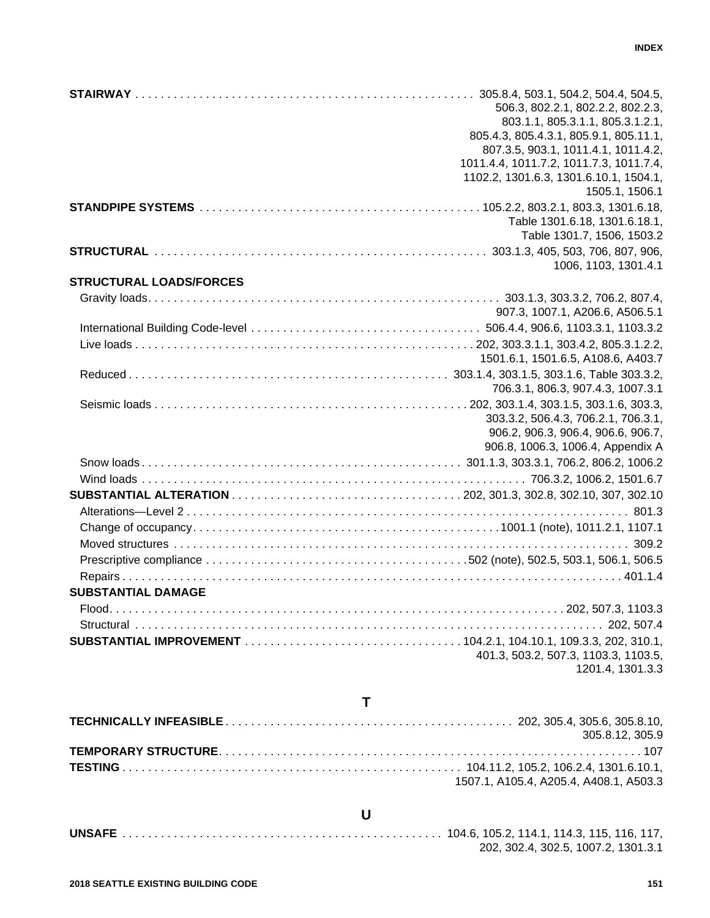|                                | 506.3, 802.2.1, 802.2.2, 802.2.3,<br>803.1.1, 805.3.1.1, 805.3.1.2.1,<br>805.4.3, 805.4.3.1, 805.9.1, 805.11.1,<br>807.3.5, 903.1, 1011.4.1, 1011.4.2,<br>1011.4.4, 1011.7.2, 1011.7.3, 1011.7.4,<br>1102.2, 1301.6.3, 1301.6.10.1, 1504.1,<br>1505.1, 1506.1 |
|--------------------------------|---------------------------------------------------------------------------------------------------------------------------------------------------------------------------------------------------------------------------------------------------------------|
|                                | Table 1301.6.18, 1301.6.18.1,<br>Table 1301.7, 1506, 1503.2                                                                                                                                                                                                   |
|                                | 1006, 1103, 1301.4.1                                                                                                                                                                                                                                          |
| <b>STRUCTURAL LOADS/FORCES</b> |                                                                                                                                                                                                                                                               |
|                                |                                                                                                                                                                                                                                                               |
|                                | 907.3, 1007.1, A206.6, A506.5.1                                                                                                                                                                                                                               |
|                                |                                                                                                                                                                                                                                                               |
|                                | 1501.6.1, 1501.6.5, A108.6, A403.7                                                                                                                                                                                                                            |
|                                | 706.3.1, 806.3, 907.4.3, 1007.3.1                                                                                                                                                                                                                             |
|                                | 303.3.2, 506.4.3, 706.2.1, 706.3.1,<br>906.2, 906.3, 906.4, 906.6, 906.7,<br>906.8, 1006.3, 1006.4, Appendix A                                                                                                                                                |
|                                |                                                                                                                                                                                                                                                               |
|                                |                                                                                                                                                                                                                                                               |
|                                |                                                                                                                                                                                                                                                               |
|                                |                                                                                                                                                                                                                                                               |
|                                |                                                                                                                                                                                                                                                               |
|                                |                                                                                                                                                                                                                                                               |
|                                |                                                                                                                                                                                                                                                               |
|                                |                                                                                                                                                                                                                                                               |
| <b>SUBSTANTIAL DAMAGE</b>      |                                                                                                                                                                                                                                                               |
|                                |                                                                                                                                                                                                                                                               |
|                                |                                                                                                                                                                                                                                                               |
|                                | 401.3, 503.2, 507.3, 1103.3, 1103.5,                                                                                                                                                                                                                          |
|                                | 1201.4, 1301.3.3                                                                                                                                                                                                                                              |

# **T**

| 305.8.12.305.9                         |
|----------------------------------------|
|                                        |
|                                        |
| 1507.1, A105.4, A205.4, A408.1, A503.3 |

# **U**

**UNSAFE** . . . . . . . . . . . . . . . . . . . . . . . . . . . . . . . . . . . . . . . . . . . . . . . . . . 104.6, 105.2, 114.1, 114.3, 115, 116, 117, 202, 302.4, 302.5, 1007.2, 1301.3.1